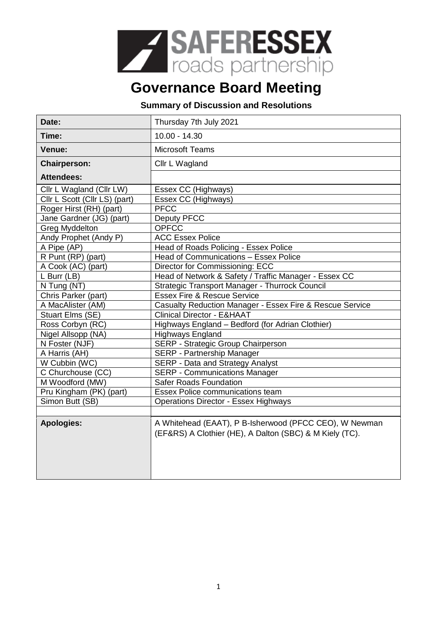

## **Governance Board Meeting**

## **Summary of Discussion and Resolutions**

| Date:                         | Thursday 7th July 2021                                                                                            |
|-------------------------------|-------------------------------------------------------------------------------------------------------------------|
| Time:                         | $10.00 - 14.30$                                                                                                   |
| Venue:                        | <b>Microsoft Teams</b>                                                                                            |
| <b>Chairperson:</b>           | Cllr L Wagland                                                                                                    |
| <b>Attendees:</b>             |                                                                                                                   |
| Cllr L Wagland (Cllr LW)      | Essex CC (Highways)                                                                                               |
| Cllr L Scott (Cllr LS) (part) | Essex CC (Highways)                                                                                               |
| Roger Hirst (RH) (part)       | <b>PFCC</b>                                                                                                       |
| Jane Gardner (JG) (part)      | Deputy PFCC                                                                                                       |
| <b>Greg Myddelton</b>         | <b>OPFCC</b>                                                                                                      |
| Andy Prophet (Andy P)         | <b>ACC Essex Police</b>                                                                                           |
| A Pipe (AP)                   | Head of Roads Policing - Essex Police                                                                             |
| R Punt (RP) (part)            | Head of Communications - Essex Police                                                                             |
| A Cook (AC) (part)            | Director for Commissioning: ECC                                                                                   |
| L Burr (LB)                   | Head of Network & Safety / Traffic Manager - Essex CC                                                             |
| N Tung (NT)                   | Strategic Transport Manager - Thurrock Council                                                                    |
| Chris Parker (part)           | <b>Essex Fire &amp; Rescue Service</b>                                                                            |
| A MacAlister (AM)             | Casualty Reduction Manager - Essex Fire & Rescue Service                                                          |
| Stuart Elms (SE)              | <b>Clinical Director - E&amp;HAAT</b>                                                                             |
| Ross Corbyn (RC)              | Highways England - Bedford (for Adrian Clothier)                                                                  |
| Nigel Allsopp (NA)            | <b>Highways England</b>                                                                                           |
| N Foster (NJF)                | SERP - Strategic Group Chairperson                                                                                |
| A Harris (AH)                 | SERP - Partnership Manager                                                                                        |
| W Cubbin (WC)                 | SERP - Data and Strategy Analyst                                                                                  |
| C Churchouse (CC)             | <b>SERP - Communications Manager</b>                                                                              |
| M Woodford (MW)               | <b>Safer Roads Foundation</b>                                                                                     |
| Pru Kingham (PK) (part)       | <b>Essex Police communications team</b>                                                                           |
| Simon Butt (SB)               | <b>Operations Director - Essex Highways</b>                                                                       |
|                               |                                                                                                                   |
| <b>Apologies:</b>             | A Whitehead (EAAT), P B-Isherwood (PFCC CEO), W Newman<br>(EF&RS) A Clothier (HE), A Dalton (SBC) & M Kiely (TC). |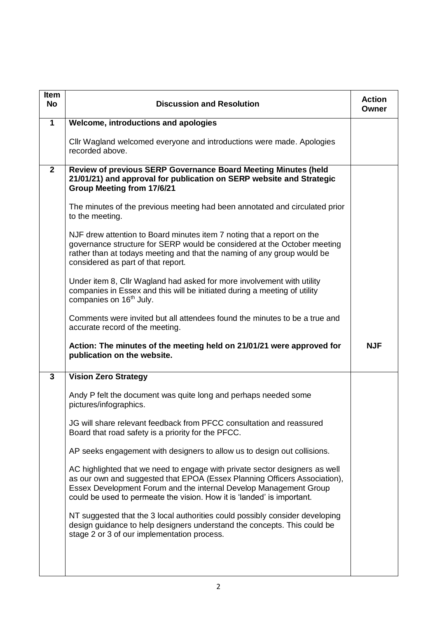| <b>Item</b><br><b>No</b> | <b>Discussion and Resolution</b>                                                                                                                                                                                                                                                                        | <b>Action</b><br>Owner |
|--------------------------|---------------------------------------------------------------------------------------------------------------------------------------------------------------------------------------------------------------------------------------------------------------------------------------------------------|------------------------|
| $\mathbf{1}$             | Welcome, introductions and apologies                                                                                                                                                                                                                                                                    |                        |
|                          | Cllr Wagland welcomed everyone and introductions were made. Apologies<br>recorded above.                                                                                                                                                                                                                |                        |
| $2^{\circ}$              | Review of previous SERP Governance Board Meeting Minutes (held<br>21/01/21) and approval for publication on SERP website and Strategic<br><b>Group Meeting from 17/6/21</b>                                                                                                                             |                        |
|                          | The minutes of the previous meeting had been annotated and circulated prior<br>to the meeting.                                                                                                                                                                                                          |                        |
|                          | NJF drew attention to Board minutes item 7 noting that a report on the<br>governance structure for SERP would be considered at the October meeting<br>rather than at todays meeting and that the naming of any group would be<br>considered as part of that report.                                     |                        |
|                          | Under item 8, Cllr Wagland had asked for more involvement with utility<br>companies in Essex and this will be initiated during a meeting of utility<br>companies on 16 <sup>th</sup> July.                                                                                                              |                        |
|                          | Comments were invited but all attendees found the minutes to be a true and<br>accurate record of the meeting.                                                                                                                                                                                           |                        |
|                          | Action: The minutes of the meeting held on 21/01/21 were approved for<br>publication on the website.                                                                                                                                                                                                    | <b>NJF</b>             |
| $\mathbf{3}$             | <b>Vision Zero Strategy</b>                                                                                                                                                                                                                                                                             |                        |
|                          | Andy P felt the document was quite long and perhaps needed some<br>pictures/infographics.                                                                                                                                                                                                               |                        |
|                          | JG will share relevant feedback from PFCC consultation and reassured<br>Board that road safety is a priority for the PFCC.                                                                                                                                                                              |                        |
|                          | AP seeks engagement with designers to allow us to design out collisions.                                                                                                                                                                                                                                |                        |
|                          | AC highlighted that we need to engage with private sector designers as well<br>as our own and suggested that EPOA (Essex Planning Officers Association),<br>Essex Development Forum and the internal Develop Management Group<br>could be used to permeate the vision. How it is 'landed' is important. |                        |
|                          | NT suggested that the 3 local authorities could possibly consider developing<br>design guidance to help designers understand the concepts. This could be<br>stage 2 or 3 of our implementation process.                                                                                                 |                        |
|                          |                                                                                                                                                                                                                                                                                                         |                        |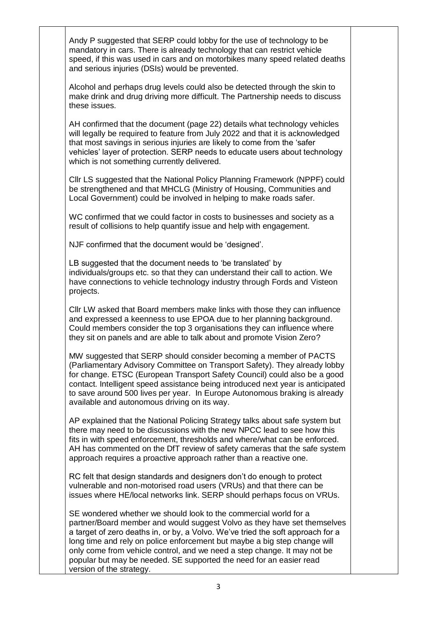Andy P suggested that SERP could lobby for the use of technology to be mandatory in cars. There is already technology that can restrict vehicle speed, if this was used in cars and on motorbikes many speed related deaths and serious injuries (DSIs) would be prevented.

Alcohol and perhaps drug levels could also be detected through the skin to make drink and drug driving more difficult. The Partnership needs to discuss these issues.

AH confirmed that the document (page 22) details what technology vehicles will legally be required to feature from July 2022 and that it is acknowledged that most savings in serious injuries are likely to come from the 'safer vehicles' layer of protection. SERP needs to educate users about technology which is not something currently delivered.

Cllr LS suggested that the National Policy Planning Framework (NPPF) could be strengthened and that MHCLG (Ministry of Housing, Communities and Local Government) could be involved in helping to make roads safer.

WC confirmed that we could factor in costs to businesses and society as a result of collisions to help quantify issue and help with engagement.

NJF confirmed that the document would be 'designed'.

LB suggested that the document needs to 'be translated' by individuals/groups etc. so that they can understand their call to action. We have connections to vehicle technology industry through Fords and Visteon projects.

Cllr LW asked that Board members make links with those they can influence and expressed a keenness to use EPOA due to her planning background. Could members consider the top 3 organisations they can influence where they sit on panels and are able to talk about and promote Vision Zero?

MW suggested that SERP should consider becoming a member of PACTS (Parliamentary Advisory Committee on Transport Safety). They already lobby for change. ETSC (European Transport Safety Council) could also be a good contact. Intelligent speed assistance being introduced next year is anticipated to save around 500 lives per year. In Europe Autonomous braking is already available and autonomous driving on its way.

AP explained that the National Policing Strategy talks about safe system but there may need to be discussions with the new NPCC lead to see how this fits in with speed enforcement, thresholds and where/what can be enforced. AH has commented on the DfT review of safety cameras that the safe system approach requires a proactive approach rather than a reactive one.

RC felt that design standards and designers don't do enough to protect vulnerable and non-motorised road users (VRUs) and that there can be issues where HE/local networks link. SERP should perhaps focus on VRUs.

SE wondered whether we should look to the commercial world for a partner/Board member and would suggest Volvo as they have set themselves a target of zero deaths in, or by, a Volvo. We've tried the soft approach for a long time and rely on police enforcement but maybe a big step change will only come from vehicle control, and we need a step change. It may not be popular but may be needed. SE supported the need for an easier read version of the strategy.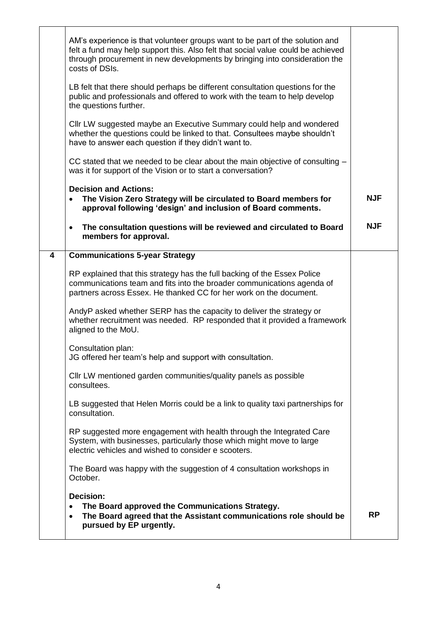|   | AM's experience is that volunteer groups want to be part of the solution and<br>felt a fund may help support this. Also felt that social value could be achieved<br>through procurement in new developments by bringing into consideration the<br>costs of DSIs. |            |
|---|------------------------------------------------------------------------------------------------------------------------------------------------------------------------------------------------------------------------------------------------------------------|------------|
|   | LB felt that there should perhaps be different consultation questions for the<br>public and professionals and offered to work with the team to help develop<br>the questions further.                                                                            |            |
|   | Cllr LW suggested maybe an Executive Summary could help and wondered<br>whether the questions could be linked to that. Consultees maybe shouldn't<br>have to answer each question if they didn't want to.                                                        |            |
|   | CC stated that we needed to be clear about the main objective of consulting -<br>was it for support of the Vision or to start a conversation?                                                                                                                    |            |
|   | <b>Decision and Actions:</b><br>The Vision Zero Strategy will be circulated to Board members for<br>approval following 'design' and inclusion of Board comments.                                                                                                 | <b>NJF</b> |
|   | The consultation questions will be reviewed and circulated to Board<br>$\bullet$<br>members for approval.                                                                                                                                                        | <b>NJF</b> |
| 4 | <b>Communications 5-year Strategy</b>                                                                                                                                                                                                                            |            |
|   | RP explained that this strategy has the full backing of the Essex Police<br>communications team and fits into the broader communications agenda of<br>partners across Essex. He thanked CC for her work on the document.                                         |            |
|   | AndyP asked whether SERP has the capacity to deliver the strategy or<br>whether recruitment was needed. RP responded that it provided a framework<br>aligned to the MoU.                                                                                         |            |
|   | Consultation plan:<br>JG offered her team's help and support with consultation.                                                                                                                                                                                  |            |
|   | CIIr LW mentioned garden communities/quality panels as possible<br>consultees.                                                                                                                                                                                   |            |
|   | LB suggested that Helen Morris could be a link to quality taxi partnerships for<br>consultation.                                                                                                                                                                 |            |
|   | RP suggested more engagement with health through the Integrated Care<br>System, with businesses, particularly those which might move to large<br>electric vehicles and wished to consider e scooters.                                                            |            |
|   | The Board was happy with the suggestion of 4 consultation workshops in<br>October.                                                                                                                                                                               |            |
|   | <b>Decision:</b><br>The Board approved the Communications Strategy.<br>$\bullet$<br>The Board agreed that the Assistant communications role should be<br>$\bullet$<br>pursued by EP urgently.                                                                    | <b>RP</b>  |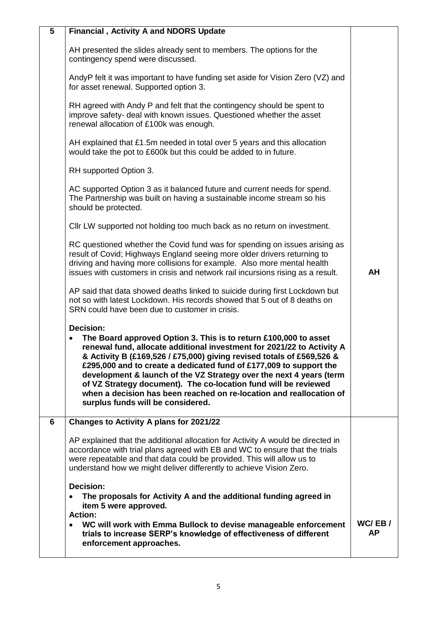| 5 | <b>Financial, Activity A and NDORS Update</b>                                                                                                                                                                                                                                                                                                                                                                                                                                                                                                                       |                     |
|---|---------------------------------------------------------------------------------------------------------------------------------------------------------------------------------------------------------------------------------------------------------------------------------------------------------------------------------------------------------------------------------------------------------------------------------------------------------------------------------------------------------------------------------------------------------------------|---------------------|
|   | AH presented the slides already sent to members. The options for the<br>contingency spend were discussed.                                                                                                                                                                                                                                                                                                                                                                                                                                                           |                     |
|   | AndyP felt it was important to have funding set aside for Vision Zero (VZ) and<br>for asset renewal. Supported option 3.                                                                                                                                                                                                                                                                                                                                                                                                                                            |                     |
|   | RH agreed with Andy P and felt that the contingency should be spent to<br>improve safety- deal with known issues. Questioned whether the asset<br>renewal allocation of £100k was enough.                                                                                                                                                                                                                                                                                                                                                                           |                     |
|   | AH explained that £1.5m needed in total over 5 years and this allocation<br>would take the pot to £600k but this could be added to in future.                                                                                                                                                                                                                                                                                                                                                                                                                       |                     |
|   | RH supported Option 3.                                                                                                                                                                                                                                                                                                                                                                                                                                                                                                                                              |                     |
|   | AC supported Option 3 as it balanced future and current needs for spend.<br>The Partnership was built on having a sustainable income stream so his<br>should be protected.                                                                                                                                                                                                                                                                                                                                                                                          |                     |
|   | Cllr LW supported not holding too much back as no return on investment.                                                                                                                                                                                                                                                                                                                                                                                                                                                                                             |                     |
|   | RC questioned whether the Covid fund was for spending on issues arising as<br>result of Covid; Highways England seeing more older drivers returning to<br>driving and having more collisions for example. Also more mental health<br>issues with customers in crisis and network rail incursions rising as a result.                                                                                                                                                                                                                                                | AH                  |
|   | AP said that data showed deaths linked to suicide during first Lockdown but<br>not so with latest Lockdown. His records showed that 5 out of 8 deaths on<br>SRN could have been due to customer in crisis.                                                                                                                                                                                                                                                                                                                                                          |                     |
|   | <b>Decision:</b><br>The Board approved Option 3. This is to return £100,000 to asset<br>renewal fund, allocate additional investment for 2021/22 to Activity A<br>& Activity B (£169,526 / £75,000) giving revised totals of £569,526 &<br>£295,000 and to create a dedicated fund of £177,009 to support the<br>development & launch of the VZ Strategy over the next 4 years (term<br>of VZ Strategy document). The co-location fund will be reviewed<br>when a decision has been reached on re-location and reallocation of<br>surplus funds will be considered. |                     |
| 6 | Changes to Activity A plans for 2021/22                                                                                                                                                                                                                                                                                                                                                                                                                                                                                                                             |                     |
|   | AP explained that the additional allocation for Activity A would be directed in<br>accordance with trial plans agreed with EB and WC to ensure that the trials<br>were repeatable and that data could be provided. This will allow us to<br>understand how we might deliver differently to achieve Vision Zero.                                                                                                                                                                                                                                                     |                     |
|   | <b>Decision:</b><br>The proposals for Activity A and the additional funding agreed in<br>item 5 were approved.<br><b>Action:</b>                                                                                                                                                                                                                                                                                                                                                                                                                                    |                     |
|   | WC will work with Emma Bullock to devise manageable enforcement<br>trials to increase SERP's knowledge of effectiveness of different<br>enforcement approaches.                                                                                                                                                                                                                                                                                                                                                                                                     | WC/EB/<br><b>AP</b> |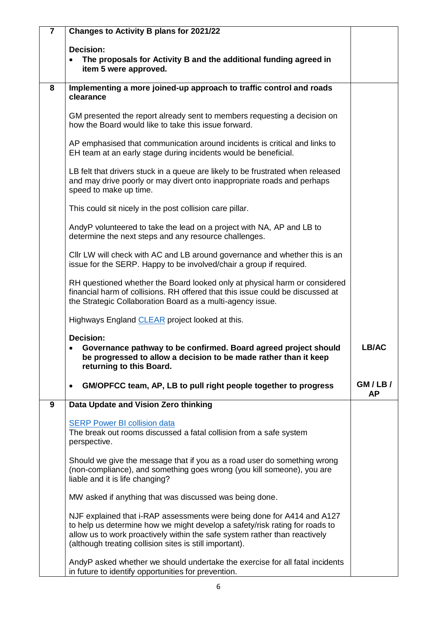| $\overline{7}$ | Changes to Activity B plans for 2021/22                                                                                                                                                                                                                                                        |              |
|----------------|------------------------------------------------------------------------------------------------------------------------------------------------------------------------------------------------------------------------------------------------------------------------------------------------|--------------|
|                | <b>Decision:</b>                                                                                                                                                                                                                                                                               |              |
|                | The proposals for Activity B and the additional funding agreed in<br>item 5 were approved.                                                                                                                                                                                                     |              |
|                |                                                                                                                                                                                                                                                                                                |              |
| 8              | Implementing a more joined-up approach to traffic control and roads<br>clearance                                                                                                                                                                                                               |              |
|                | GM presented the report already sent to members requesting a decision on<br>how the Board would like to take this issue forward.                                                                                                                                                               |              |
|                | AP emphasised that communication around incidents is critical and links to<br>EH team at an early stage during incidents would be beneficial.                                                                                                                                                  |              |
|                | LB felt that drivers stuck in a queue are likely to be frustrated when released<br>and may drive poorly or may divert onto inappropriate roads and perhaps<br>speed to make up time.                                                                                                           |              |
|                | This could sit nicely in the post collision care pillar.                                                                                                                                                                                                                                       |              |
|                | AndyP volunteered to take the lead on a project with NA, AP and LB to<br>determine the next steps and any resource challenges.                                                                                                                                                                 |              |
|                | CIIr LW will check with AC and LB around governance and whether this is an<br>issue for the SERP. Happy to be involved/chair a group if required.                                                                                                                                              |              |
|                | RH questioned whether the Board looked only at physical harm or considered<br>financial harm of collisions. RH offered that this issue could be discussed at<br>the Strategic Collaboration Board as a multi-agency issue.                                                                     |              |
|                | Highways England CLEAR project looked at this.                                                                                                                                                                                                                                                 |              |
|                | Decision:<br>Governance pathway to be confirmed. Board agreed project should<br>be progressed to allow a decision to be made rather than it keep<br>returning to this Board.                                                                                                                   | LB/AC        |
|                | GM/OPFCC team, AP, LB to pull right people together to progress                                                                                                                                                                                                                                | GM/LB/<br>AΡ |
| 9              | Data Update and Vision Zero thinking                                                                                                                                                                                                                                                           |              |
|                | <b>SERP Power BI collision data</b><br>The break out rooms discussed a fatal collision from a safe system<br>perspective.                                                                                                                                                                      |              |
|                | Should we give the message that if you as a road user do something wrong<br>(non-compliance), and something goes wrong (you kill someone), you are<br>liable and it is life changing?                                                                                                          |              |
|                | MW asked if anything that was discussed was being done.                                                                                                                                                                                                                                        |              |
|                | NJF explained that i-RAP assessments were being done for A414 and A127<br>to help us determine how we might develop a safety/risk rating for roads to<br>allow us to work proactively within the safe system rather than reactively<br>(although treating collision sites is still important). |              |
|                | AndyP asked whether we should undertake the exercise for all fatal incidents<br>in future to identify opportunities for prevention.                                                                                                                                                            |              |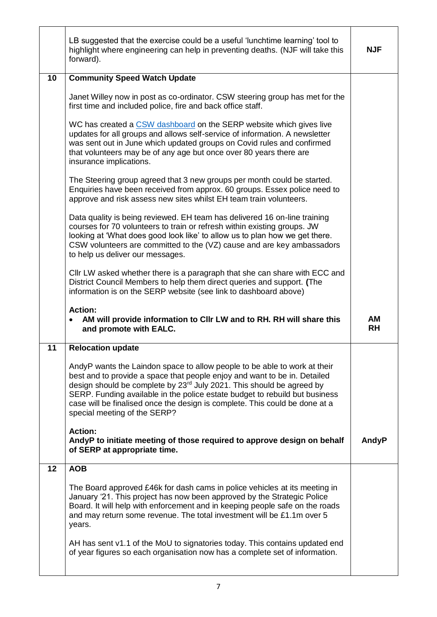|    | LB suggested that the exercise could be a useful 'lunchtime learning' tool to<br>highlight where engineering can help in preventing deaths. (NJF will take this<br>forward).                                                                                                                                                                                                                                                              | <b>NJF</b>             |
|----|-------------------------------------------------------------------------------------------------------------------------------------------------------------------------------------------------------------------------------------------------------------------------------------------------------------------------------------------------------------------------------------------------------------------------------------------|------------------------|
| 10 | <b>Community Speed Watch Update</b>                                                                                                                                                                                                                                                                                                                                                                                                       |                        |
|    | Janet Willey now in post as co-ordinator. CSW steering group has met for the<br>first time and included police, fire and back office staff.                                                                                                                                                                                                                                                                                               |                        |
|    | WC has created a CSW dashboard on the SERP website which gives live<br>updates for all groups and allows self-service of information. A newsletter<br>was sent out in June which updated groups on Covid rules and confirmed<br>that volunteers may be of any age but once over 80 years there are<br>insurance implications.                                                                                                             |                        |
|    | The Steering group agreed that 3 new groups per month could be started.<br>Enquiries have been received from approx. 60 groups. Essex police need to<br>approve and risk assess new sites whilst EH team train volunteers.                                                                                                                                                                                                                |                        |
|    | Data quality is being reviewed. EH team has delivered 16 on-line training<br>courses for 70 volunteers to train or refresh within existing groups. JW<br>looking at 'What does good look like' to allow us to plan how we get there.<br>CSW volunteers are committed to the (VZ) cause and are key ambassadors<br>to help us deliver our messages.                                                                                        |                        |
|    | CIIr LW asked whether there is a paragraph that she can share with ECC and<br>District Council Members to help them direct queries and support. (The<br>information is on the SERP website (see link to dashboard above)                                                                                                                                                                                                                  |                        |
|    |                                                                                                                                                                                                                                                                                                                                                                                                                                           |                        |
|    | <b>Action:</b><br>AM will provide information to CIIr LW and to RH. RH will share this<br>and promote with EALC.                                                                                                                                                                                                                                                                                                                          | <b>AM</b><br><b>RH</b> |
| 11 | <b>Relocation update</b>                                                                                                                                                                                                                                                                                                                                                                                                                  |                        |
|    | AndyP wants the Laindon space to allow people to be able to work at their<br>best and to provide a space that people enjoy and want to be in. Detailed<br>design should be complete by 23 <sup>rd</sup> July 2021. This should be agreed by<br>SERP. Funding available in the police estate budget to rebuild but business<br>case will be finalised once the design is complete. This could be done at a<br>special meeting of the SERP? |                        |
|    | <b>Action:</b><br>AndyP to initiate meeting of those required to approve design on behalf<br>of SERP at appropriate time.                                                                                                                                                                                                                                                                                                                 | AndyP                  |
| 12 | <b>AOB</b>                                                                                                                                                                                                                                                                                                                                                                                                                                |                        |
|    | The Board approved £46k for dash cams in police vehicles at its meeting in<br>January '21. This project has now been approved by the Strategic Police<br>Board. It will help with enforcement and in keeping people safe on the roads<br>and may return some revenue. The total investment will be £1.1m over 5<br>years.                                                                                                                 |                        |